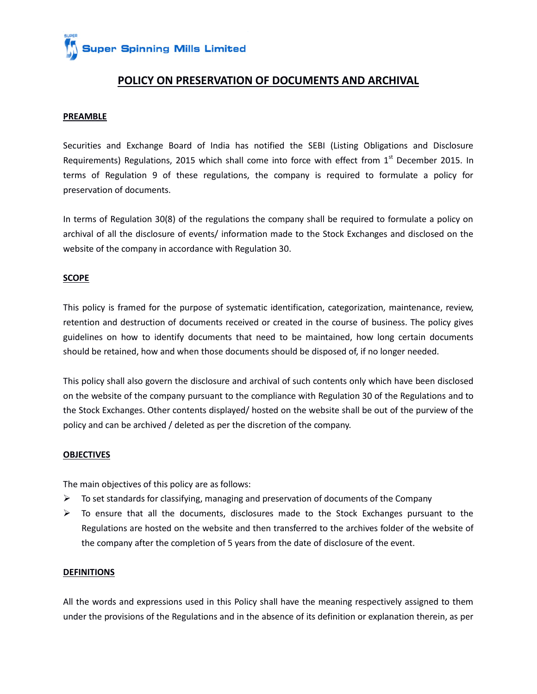

# **POLICY ON PRESERVATION OF DOCUMENTS AND ARCHIVAL**

#### **PREAMBLE**

Securities and Exchange Board of India has notified the SEBI (Listing Obligations and Disclosure Requirements) Regulations, 2015 which shall come into force with effect from 1<sup>st</sup> December 2015. In terms of Regulation 9 of these regulations, the company is required to formulate a policy for preservation of documents.

In terms of Regulation 30(8) of the regulations the company shall be required to formulate a policy on archival of all the disclosure of events/ information made to the Stock Exchanges and disclosed on the website of the company in accordance with Regulation 30.

#### **SCOPE**

This policy is framed for the purpose of systematic identification, categorization, maintenance, review, retention and destruction of documents received or created in the course of business. The policy gives guidelines on how to identify documents that need to be maintained, how long certain documents should be retained, how and when those documents should be disposed of, if no longer needed.

This policy shall also govern the disclosure and archival of such contents only which have been disclosed on the website of the company pursuant to the compliance with Regulation 30 of the Regulations and to the Stock Exchanges. Other contents displayed/ hosted on the website shall be out of the purview of the policy and can be archived / deleted as per the discretion of the company.

#### **OBJECTIVES**

The main objectives of this policy are as follows:

- $\triangleright$  To set standards for classifying, managing and preservation of documents of the Company
- $\triangleright$  To ensure that all the documents, disclosures made to the Stock Exchanges pursuant to the Regulations are hosted on the website and then transferred to the archives folder of the website of the company after the completion of 5 years from the date of disclosure of the event.

#### **DEFINITIONS**

All the words and expressions used in this Policy shall have the meaning respectively assigned to them under the provisions of the Regulations and in the absence of its definition or explanation therein, as per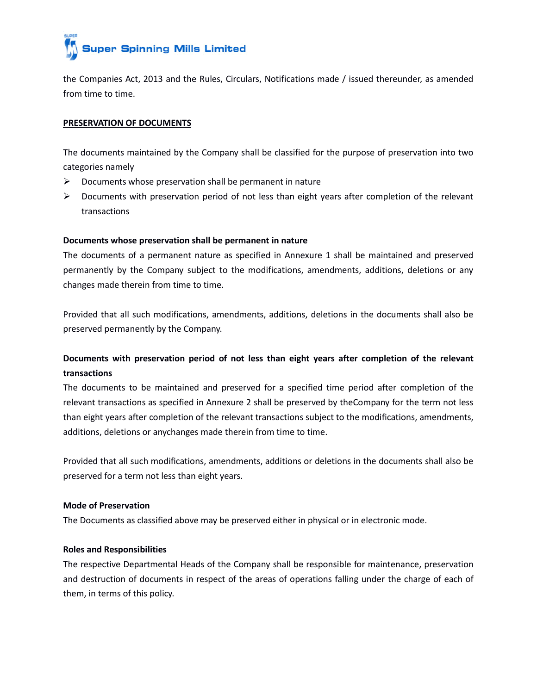

the Companies Act, 2013 and the Rules, Circulars, Notifications made / issued thereunder, as amended from time to time.

#### **PRESERVATION OF DOCUMENTS**

The documents maintained by the Company shall be classified for the purpose of preservation into two categories namely

- $\triangleright$  Documents whose preservation shall be permanent in nature
- $\triangleright$  Documents with preservation period of not less than eight years after completion of the relevant transactions

### **Documents whose preservation shall be permanent in nature**

The documents of a permanent nature as specified in Annexure 1 shall be maintained and preserved permanently by the Company subject to the modifications, amendments, additions, deletions or any changes made therein from time to time.

Provided that all such modifications, amendments, additions, deletions in the documents shall also be preserved permanently by the Company.

# **Documents with preservation period of not less than eight years after completion of the relevant transactions**

The documents to be maintained and preserved for a specified time period after completion of the relevant transactions as specified in Annexure 2 shall be preserved by theCompany for the term not less than eight years after completion of the relevant transactions subject to the modifications, amendments, additions, deletions or anychanges made therein from time to time.

Provided that all such modifications, amendments, additions or deletions in the documents shall also be preserved for a term not less than eight years.

### **Mode of Preservation**

The Documents as classified above may be preserved either in physical or in electronic mode.

#### **Roles and Responsibilities**

The respective Departmental Heads of the Company shall be responsible for maintenance, preservation and destruction of documents in respect of the areas of operations falling under the charge of each of them, in terms of this policy.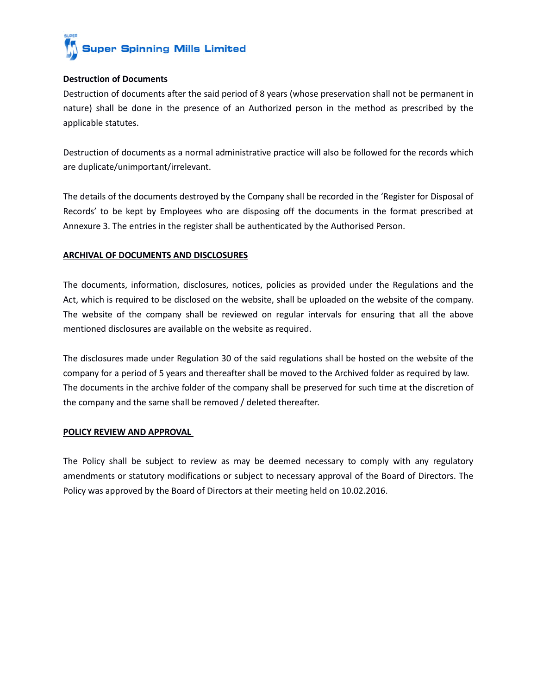

#### **Destruction of Documents**

Destruction of documents after the said period of 8 years (whose preservation shall not be permanent in nature) shall be done in the presence of an Authorized person in the method as prescribed by the applicable statutes.

Destruction of documents as a normal administrative practice will also be followed for the records which are duplicate/unimportant/irrelevant.

The details of the documents destroyed by the Company shall be recorded in the 'Register for Disposal of Records' to be kept by Employees who are disposing off the documents in the format prescribed at Annexure 3. The entries in the register shall be authenticated by the Authorised Person.

# **ARCHIVAL OF DOCUMENTS AND DISCLOSURES**

The documents, information, disclosures, notices, policies as provided under the Regulations and the Act, which is required to be disclosed on the website, shall be uploaded on the website of the company. The website of the company shall be reviewed on regular intervals for ensuring that all the above mentioned disclosures are available on the website as required.

The disclosures made under Regulation 30 of the said regulations shall be hosted on the website of the company for a period of 5 years and thereafter shall be moved to the Archived folder as required by law. The documents in the archive folder of the company shall be preserved for such time at the discretion of the company and the same shall be removed / deleted thereafter.

# **POLICY REVIEW AND APPROVAL**

The Policy shall be subject to review as may be deemed necessary to comply with any regulatory amendments or statutory modifications or subject to necessary approval of the Board of Directors. The Policy was approved by the Board of Directors at their meeting held on 10.02.2016.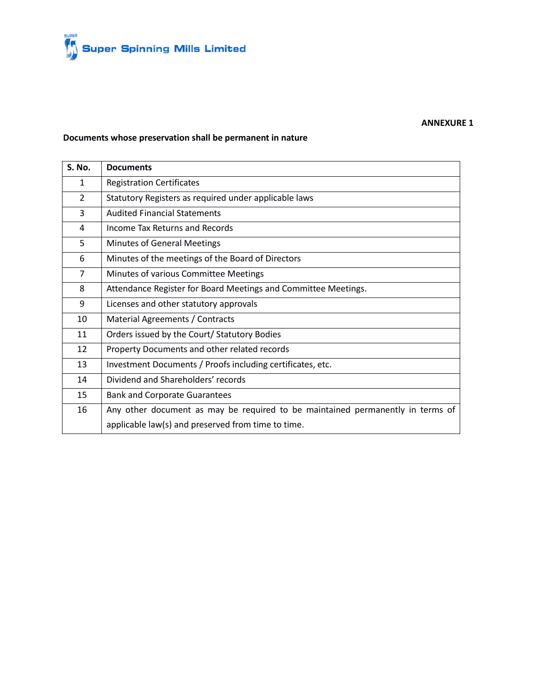

#### **ANNEXURE 1**

# **Documents whose preservation shall be permanent in nature**

| S. No.         | <b>Documents</b>                                                               |  |  |
|----------------|--------------------------------------------------------------------------------|--|--|
| $\mathbf{1}$   | <b>Registration Certificates</b>                                               |  |  |
| $\overline{2}$ | Statutory Registers as required under applicable laws                          |  |  |
| 3              | <b>Audited Financial Statements</b>                                            |  |  |
| 4              | Income Tax Returns and Records                                                 |  |  |
| 5              | <b>Minutes of General Meetings</b>                                             |  |  |
| 6              | Minutes of the meetings of the Board of Directors                              |  |  |
| $\overline{7}$ | Minutes of various Committee Meetings                                          |  |  |
| 8              | Attendance Register for Board Meetings and Committee Meetings.                 |  |  |
| 9              | Licenses and other statutory approvals                                         |  |  |
| 10             | Material Agreements / Contracts                                                |  |  |
| 11             | Orders issued by the Court/ Statutory Bodies                                   |  |  |
| 12             | Property Documents and other related records                                   |  |  |
| 13             | Investment Documents / Proofs including certificates, etc.                     |  |  |
| 14             | Dividend and Shareholders' records                                             |  |  |
| 15             | <b>Bank and Corporate Guarantees</b>                                           |  |  |
| 16             | Any other document as may be required to be maintained permanently in terms of |  |  |
|                | applicable law(s) and preserved from time to time.                             |  |  |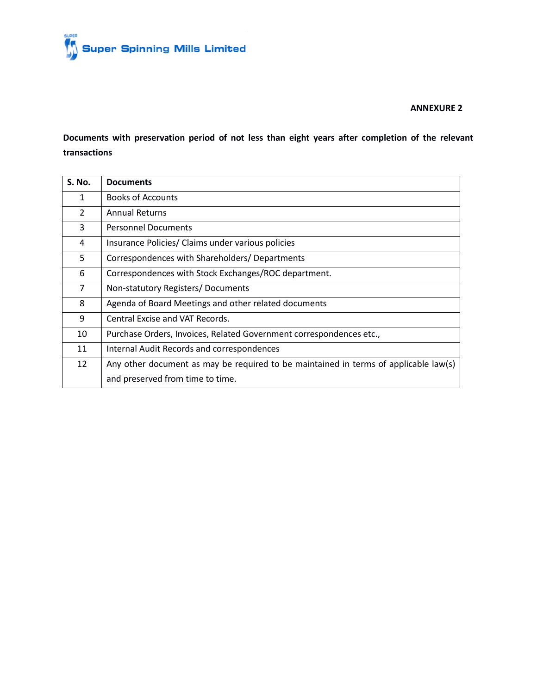

# **ANNEXURE 2**

**Documents with preservation period of not less than eight years after completion of the relevant transactions**

| <b>S. No.</b>  | <b>Documents</b>                                                                     |  |  |
|----------------|--------------------------------------------------------------------------------------|--|--|
| $\mathbf{1}$   | <b>Books of Accounts</b>                                                             |  |  |
| $\mathfrak{D}$ | <b>Annual Returns</b>                                                                |  |  |
| 3              | <b>Personnel Documents</b>                                                           |  |  |
| 4              | Insurance Policies/ Claims under various policies                                    |  |  |
| 5              | Correspondences with Shareholders/Departments                                        |  |  |
| 6              | Correspondences with Stock Exchanges/ROC department.                                 |  |  |
| $\overline{7}$ | Non-statutory Registers/ Documents                                                   |  |  |
| 8              | Agenda of Board Meetings and other related documents                                 |  |  |
| 9              | Central Excise and VAT Records.                                                      |  |  |
| 10             | Purchase Orders, Invoices, Related Government correspondences etc.,                  |  |  |
| 11             | Internal Audit Records and correspondences                                           |  |  |
| 12             | Any other document as may be required to be maintained in terms of applicable law(s) |  |  |
|                | and preserved from time to time.                                                     |  |  |